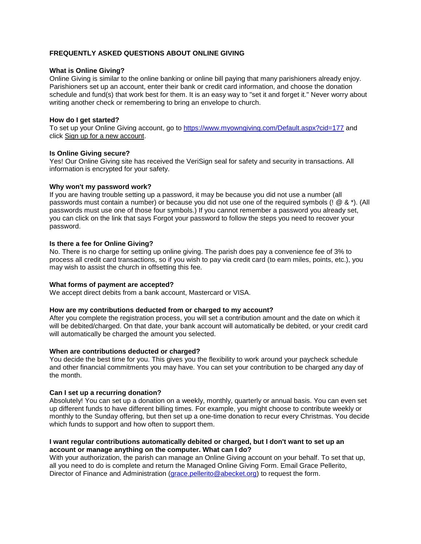# **FREQUENTLY ASKED QUESTIONS ABOUT ONLINE GIVING**

## **What is Online Giving?**

Online Giving is similar to the online banking or online bill paying that many parishioners already enjoy. Parishioners set up an account, enter their bank or credit card information, and choose the donation schedule and fund(s) that work best for them. It is an easy way to "set it and forget it." Never worry about writing another check or remembering to bring an envelope to church.

## **How do I get started?**

To set up your Online Giving account, go to [https://www.myowngiving.com/Default.aspx?cid=177](https://www.myowngiving.com/Default.aspx?cid=177%20) and click Sign up for a new account.

### **Is Online Giving secure?**

Yes! Our Online Giving site has received the VeriSign seal for safety and security in transactions. All information is encrypted for your safety.

### **Why won't my password work?**

If you are having trouble setting up a password, it may be because you did not use a number (all passwords must contain a number) or because you did not use one of the required symbols (! @ & \*). (All passwords must use one of those four symbols.) If you cannot remember a password you already set, you can click on the link that says Forgot your password to follow the steps you need to recover your password.

### **Is there a fee for Online Giving?**

No. There is no charge for setting up online giving. The parish does pay a convenience fee of 3% to process all credit card transactions, so if you wish to pay via credit card (to earn miles, points, etc.), you may wish to assist the church in offsetting this fee.

#### **What forms of payment are accepted?**

We accept direct debits from a bank account, Mastercard or VISA.

#### **How are my contributions deducted from or charged to my account?**

After you complete the registration process, you will set a contribution amount and the date on which it will be debited/charged. On that date, your bank account will automatically be debited, or your credit card will automatically be charged the amount you selected.

#### **When are contributions deducted or charged?**

You decide the best time for you. This gives you the flexibility to work around your paycheck schedule and other financial commitments you may have. You can set your contribution to be charged any day of the month.

## **Can I set up a recurring donation?**

Absolutely! You can set up a donation on a weekly, monthly, quarterly or annual basis. You can even set up different funds to have different billing times. For example, you might choose to contribute weekly or monthly to the Sunday offering, but then set up a one-time donation to recur every Christmas. You decide which funds to support and how often to support them.

## **I want regular contributions automatically debited or charged, but I don't want to set up an account or manage anything on the computer. What can I do?**

With your authorization, the parish can manage an Online Giving account on your behalf. To set that up, all you need to do is complete and return the Managed Online Giving Form. Email Grace Pellerito, Director of Finance and Administration [\(grace.pellerito@abecket.org\)](mailto:grace.pellerito@abecket.org) to request the form.